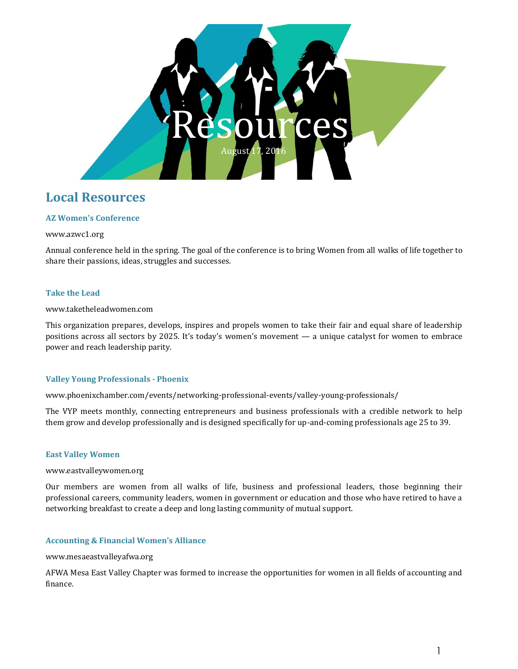

## **Local Resources**

## **AZ Women's Conference**

## www.azwc1.org

Annual conference held in the spring. The goal of the conference is to bring Women from all walks of life together to share their passions, ideas, struggles and successes.

## **Take the Lead**

#### www.taketheleadwomen.com

This organization prepares, develops, inspires and propels women to take their fair and equal share of leadership positions across all sectors by 2025. It's today's women's movement — a unique catalyst for women to embrace power and reach leadership parity.

## **Valley Young Professionals - Phoenix**

www.phoenixchamber.com/events/networking-professional-events/valley-young-professionals/

The VYP meets monthly, connecting entrepreneurs and business professionals with a credible network to help them grow and develop professionally and is designed specifically for up-and-coming professionals age 25 to 39.

## **East Valley Women**

www.eastvalleywomen.org

Our members are women from all walks of life, business and professional leaders, those beginning their professional careers, community leaders, women in government or education and those who have retired to have a networking breakfast to create a deep and long lasting community of mutual support.

## **Accounting & Financial Women's Alliance**

## www.mesaeastvalleyafwa.org

AFWA Mesa East Valley Chapter was formed to increase the opportunities for women in all fields of accounting and finance.